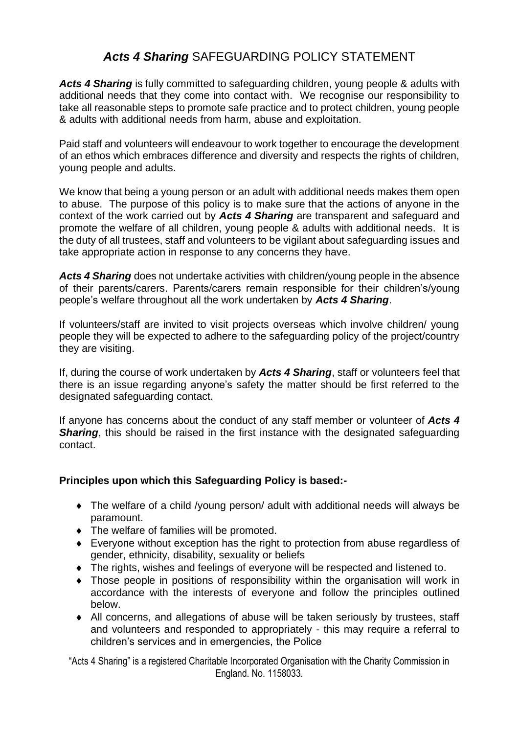# *Acts 4 Sharing* SAFEGUARDING POLICY STATEMENT

*Acts 4 Sharing* is fully committed to safeguarding children, young people & adults with additional needs that they come into contact with. We recognise our responsibility to take all reasonable steps to promote safe practice and to protect children, young people & adults with additional needs from harm, abuse and exploitation.

Paid staff and volunteers will endeavour to work together to encourage the development of an ethos which embraces difference and diversity and respects the rights of children, young people and adults.

We know that being a young person or an adult with additional needs makes them open to abuse. The purpose of this policy is to make sure that the actions of anyone in the context of the work carried out by *Acts 4 Sharing* are transparent and safeguard and promote the welfare of all children, young people & adults with additional needs.It is the duty of all trustees, staff and volunteers to be vigilant about safeguarding issues and take appropriate action in response to any concerns they have.

*Acts 4 Sharing* does not undertake activities with children/young people in the absence of their parents/carers. Parents/carers remain responsible for their children's/young people's welfare throughout all the work undertaken by *Acts 4 Sharing*.

If volunteers/staff are invited to visit projects overseas which involve children/ young people they will be expected to adhere to the safeguarding policy of the project/country they are visiting.

If, during the course of work undertaken by *Acts 4 Sharing*, staff or volunteers feel that there is an issue regarding anyone's safety the matter should be first referred to the designated safeguarding contact.

If anyone has concerns about the conduct of any staff member or volunteer of *Acts 4*  **Sharing**, this should be raised in the first instance with the designated safeguarding contact.

## **Principles upon which this Safeguarding Policy is based:-**

- The welfare of a child /young person/ adult with additional needs will always be paramount.
- The welfare of families will be promoted.
- Everyone without exception has the right to protection from abuse regardless of gender, ethnicity, disability, sexuality or beliefs
- The rights, wishes and feelings of everyone will be respected and listened to.
- Those people in positions of responsibility within the organisation will work in accordance with the interests of everyone and follow the principles outlined below.
- All concerns, and allegations of abuse will be taken seriously by trustees, staff and volunteers and responded to appropriately - this may require a referral to children's services and in emergencies, the Police

"Acts 4 Sharing" is a registered Charitable Incorporated Organisation with the Charity Commission in England. No. 1158033.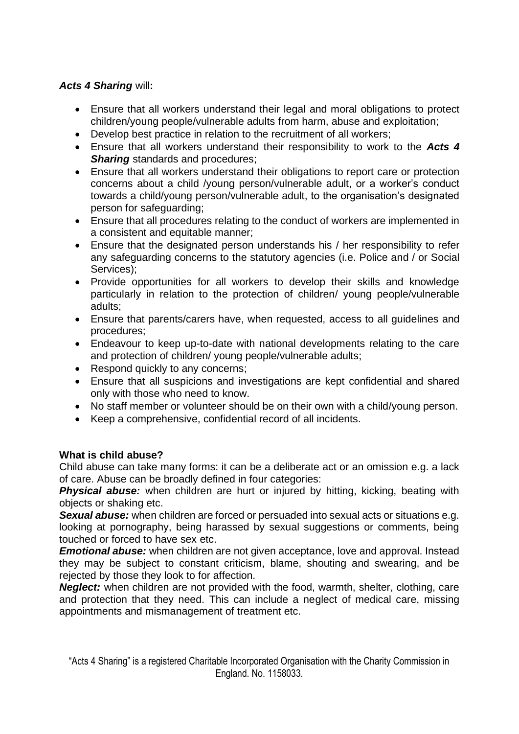## *Acts 4 Sharing* will**:**

- Ensure that all workers understand their legal and moral obligations to protect children/young people/vulnerable adults from harm, abuse and exploitation;
- Develop best practice in relation to the recruitment of all workers;
- Ensure that all workers understand their responsibility to work to the *Acts 4*  **Sharing** standards and procedures;
- Ensure that all workers understand their obligations to report care or protection concerns about a child /young person/vulnerable adult, or a worker's conduct towards a child/young person/vulnerable adult, to the organisation's designated person for safeguarding;
- Ensure that all procedures relating to the conduct of workers are implemented in a consistent and equitable manner;
- Ensure that the designated person understands his / her responsibility to refer any safeguarding concerns to the statutory agencies (i.e. Police and / or Social Services);
- Provide opportunities for all workers to develop their skills and knowledge particularly in relation to the protection of children/ young people/vulnerable adults;
- Ensure that parents/carers have, when requested, access to all guidelines and procedures;
- Endeavour to keep up-to-date with national developments relating to the care and protection of children/ young people/vulnerable adults;
- Respond quickly to any concerns;
- Ensure that all suspicions and investigations are kept confidential and shared only with those who need to know.
- No staff member or volunteer should be on their own with a child/young person.
- Keep a comprehensive, confidential record of all incidents.

## **What is child abuse?**

Child abuse can take many forms: it can be a deliberate act or an omission e.g. a lack of care. Abuse can be broadly defined in four categories:

**Physical abuse:** when children are hurt or injured by hitting, kicking, beating with objects or shaking etc.

**Sexual abuse:** when children are forced or persuaded into sexual acts or situations e.g. looking at pornography, being harassed by sexual suggestions or comments, being touched or forced to have sex etc.

*Emotional abuse:* when children are not given acceptance, love and approval. Instead they may be subject to constant criticism, blame, shouting and swearing, and be rejected by those they look to for affection.

*Neglect:* when children are not provided with the food, warmth, shelter, clothing, care and protection that they need. This can include a neglect of medical care, missing appointments and mismanagement of treatment etc.